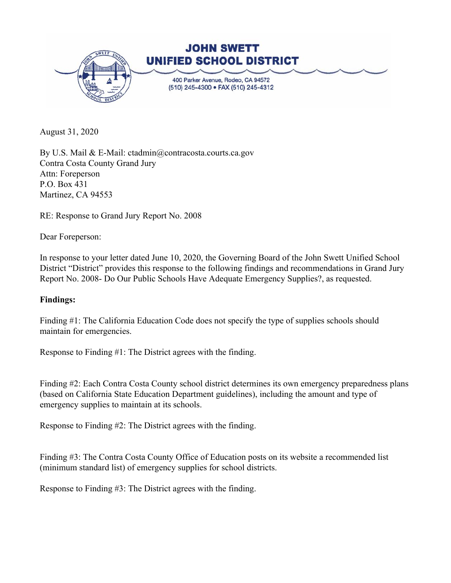

August 31, 2020

By U.S. Mail & E-Mail: ctadmin@contracosta.courts.ca.gov Contra Costa County Grand Jury Attn: Foreperson P.O. Box 431 Martinez, CA 94553

RE: Response to Grand Jury Report No. 2008

Dear Foreperson:

In response to your letter dated June 10, 2020, the Governing Board of the John Swett Unified School District "District" provides this response to the following findings and recommendations in Grand Jury Report No. 2008- Do Our Public Schools Have Adequate Emergency Supplies?, as requested.

## **Findings:**

Finding #1: The California Education Code does not specify the type of supplies schools should maintain for emergencies.

Response to Finding #1: The District agrees with the finding.

Finding #2: Each Contra Costa County school district determines its own emergency preparedness plans (based on California State Education Department guidelines), including the amount and type of emergency supplies to maintain at its schools.

Response to Finding #2: The District agrees with the finding.

Finding #3: The Contra Costa County Office of Education posts on its website a recommended list (minimum standard list) of emergency supplies for school districts.

Response to Finding #3: The District agrees with the finding.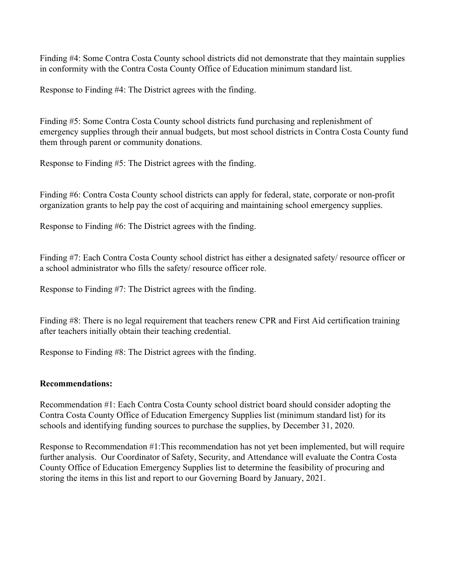Finding #4: Some Contra Costa County school districts did not demonstrate that they maintain supplies in conformity with the Contra Costa County Office of Education minimum standard list.

Response to Finding #4: The District agrees with the finding.

Finding #5: Some Contra Costa County school districts fund purchasing and replenishment of emergency supplies through their annual budgets, but most school districts in Contra Costa County fund them through parent or community donations.

Response to Finding #5: The District agrees with the finding.

Finding #6: Contra Costa County school districts can apply for federal, state, corporate or non-profit organization grants to help pay the cost of acquiring and maintaining school emergency supplies.

Response to Finding #6: The District agrees with the finding.

Finding #7: Each Contra Costa County school district has either a designated safety/ resource officer or a school administrator who fills the safety/ resource officer role.

Response to Finding #7: The District agrees with the finding.

Finding #8: There is no legal requirement that teachers renew CPR and First Aid certification training after teachers initially obtain their teaching credential.

Response to Finding #8: The District agrees with the finding.

## **Recommendations:**

Recommendation #1: Each Contra Costa County school district board should consider adopting the Contra Costa County Office of Education Emergency Supplies list (minimum standard list) for its schools and identifying funding sources to purchase the supplies, by December 31, 2020.

Response to Recommendation #1:This recommendation has not yet been implemented, but will require further analysis. Our Coordinator of Safety, Security, and Attendance will evaluate the Contra Costa County Office of Education Emergency Supplies list to determine the feasibility of procuring and storing the items in this list and report to our Governing Board by January, 2021.